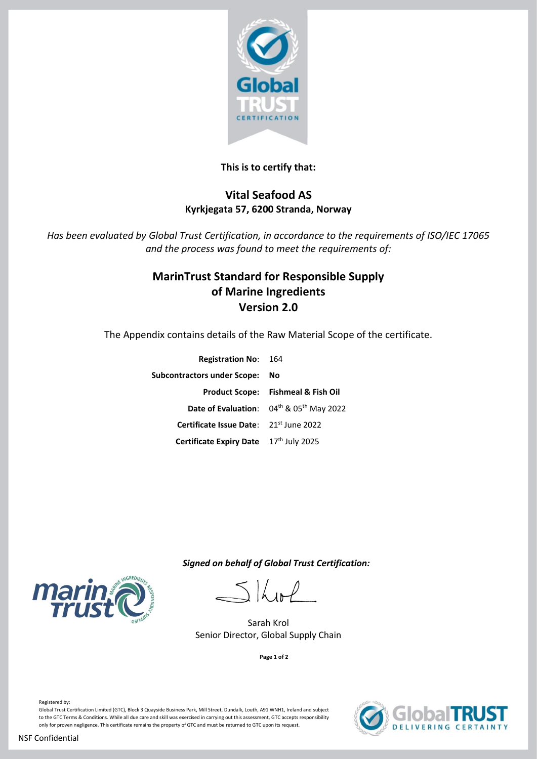

### **This is to certify that:**

## **Vital Seafood AS Kyrkjegata 57, 6200 Stranda, Norway**

*Has been evaluated by Global Trust Certification, in accordance to the requirements of ISO/IEC 17065 and the process was found to meet the requirements of:*

# **MarinTrust Standard for Responsible Supply of Marine Ingredients Version 2.0**

The Appendix contains details of the Raw Material Scope of the certificate.

| <b>Registration No: 164</b>            |                                               |
|----------------------------------------|-----------------------------------------------|
| <b>Subcontractors under Scope:</b>     | No                                            |
|                                        | <b>Product Scope: Fishmeal &amp; Fish Oil</b> |
|                                        | Date of Evaluation: 04th & 05th May 2022      |
| Certificate Issue Date: 21st June 2022 |                                               |
| Certificate Expiry Date 17th July 2025 |                                               |
|                                        |                                               |

 *Signed on behalf of Global Trust Certification:*

 $\frac{1}{2}$ 

Sarah Krol Senior Director, Global Supply Chain

**Page 1 of 2**



Registered by:

Global Trust Certification Limited (GTC), Block 3 Quayside Business Park, Mill Street, Dundalk, Louth, A91 WNH1, Ireland and subject to the GTC Terms & Conditions. While all due care and skill was exercised in carrying out this assessment, GTC accepts responsibility only for proven negligence. This certificate remains the property of GTC and must be returned to GTC upon its request.